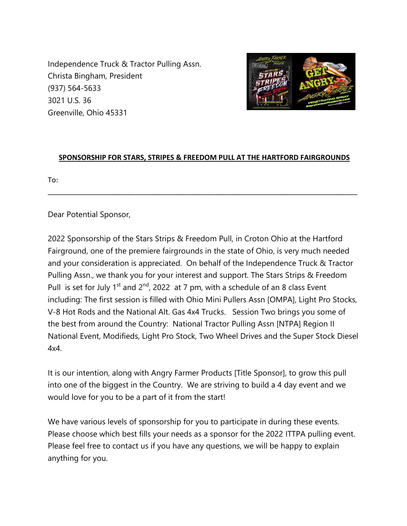Independence Truck & Tractor Pulling Assn. Christa Bingham, President (937) 564-5633 3021 U.S. 36 Greenville, Ohio 45331



## **SPONSORSHIP FOR STARS, STRIPES & FREEDOM PULL AT THE HARTFORD FAIRGROUNDS**

\_\_\_\_\_\_\_\_\_\_\_\_\_\_\_\_\_\_\_\_\_\_\_\_\_\_\_\_\_\_\_\_\_\_\_\_\_\_\_\_\_\_\_\_\_\_\_\_\_\_\_\_\_\_\_\_\_\_\_\_\_\_\_\_\_\_\_\_\_\_\_\_\_\_\_\_\_\_

To:

Dear Potential Sponsor,

2022 Sponsorship of the Stars Strips & Freedom Pull, in Croton Ohio at the Hartford Fairground, one of the premiere fairgrounds in the state of Ohio, is very much needed and your consideration is appreciated. On behalf of the Independence Truck & Tractor Pulling Assn., we thank you for your interest and support. The Stars Strips & Freedom Pull is set for July 1<sup>st</sup> and 2<sup>nd</sup>, 2022 at 7 pm, with a schedule of an 8 class Event including: The first session is filled with Ohio Mini Pullers Assn [OMPA], Light Pro Stocks, V-8 Hot Rods and the National Alt. Gas 4x4 Trucks. Session Two brings you some of the best from around the Country: National Tractor Pulling Assn [NTPA] Region II National Event, Modifieds, Light Pro Stock, Two Wheel Drives and the Super Stock Diesel 4x4.

It is our intention, along with Angry Farmer Products [Title Sponsor], to grow this pull into one of the biggest in the Country. We are striving to build a 4 day event and we would love for you to be a part of it from the start!

We have various levels of sponsorship for you to participate in during these events. Please choose which best fills your needs as a sponsor for the 2022 ITTPA pulling event. Please feel free to contact us if you have any questions, we will be happy to explain anything for you.